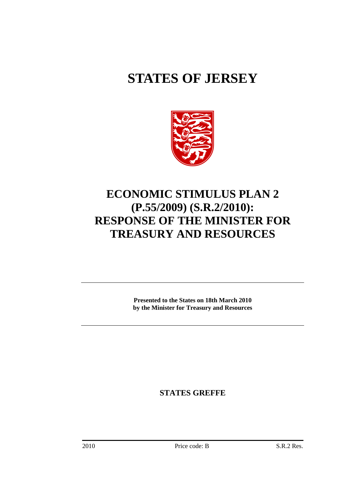# **STATES OF JERSEY**



## **ECONOMIC STIMULUS PLAN 2 (P.55/2009) (S.R.2/2010): RESPONSE OF THE MINISTER FOR TREASURY AND RESOURCES**

**Presented to the States on 18th March 2010 by the Minister for Treasury and Resources** 

**STATES GREFFE**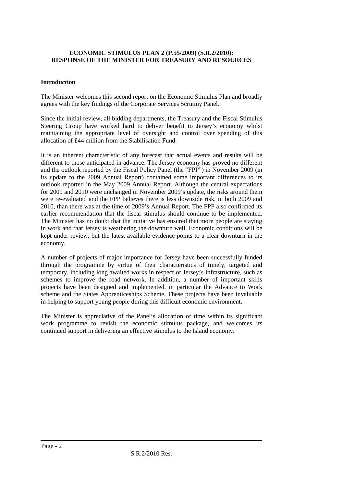#### **ECONOMIC STIMULUS PLAN 2 (P.55/2009) (S.R.2/2010): RESPONSE OF THE MINISTER FOR TREASURY AND RESOURCES**

#### **Introduction**

The Minister welcomes this second report on the Economic Stimulus Plan and broadly agrees with the key findings of the Corporate Services Scrutiny Panel.

Since the initial review, all bidding departments, the Treasury and the Fiscal Stimulus Steering Group have worked hard to deliver benefit to Jersey's economy whilst maintaining the appropriate level of oversight and control over spending of this allocation of £44 million from the Stabilisation Fund.

It is an inherent characteristic of any forecast that actual events and results will be different to those anticipated in advance. The Jersey economy has proved no different and the outlook reported by the Fiscal Policy Panel (the "FPP") in November 2009 (in its update to the 2009 Annual Report) contained some important differences to its outlook reported in the May 2009 Annual Report. Although the central expectations for 2009 and 2010 were unchanged in November 2009's update, the risks around them were re-evaluated and the FPP believes there is less downside risk, in both 2009 and 2010, than there was at the time of 2009's Annual Report. The FPP also confirmed its earlier recommendation that the fiscal stimulus should continue to be implemented. The Minister has no doubt that the initiative has ensured that more people are staying in work and that Jersey is weathering the downturn well. Economic conditions will be kept under review, but the latest available evidence points to a clear downturn in the economy.

A number of projects of major importance for Jersey have been successfully funded through the programme by virtue of their characteristics of timely, targeted and temporary, including long awaited works in respect of Jersey's infrastructure, such as schemes to improve the road network. In addition, a number of important skills projects have been designed and implemented, in particular the Advance to Work scheme and the States Apprenticeships Scheme. These projects have been invaluable in helping to support young people during this difficult economic environment.

The Minister is appreciative of the Panel's allocation of time within its significant work programme to revisit the economic stimulus package, and welcomes its continued support in delivering an effective stimulus to the Island economy.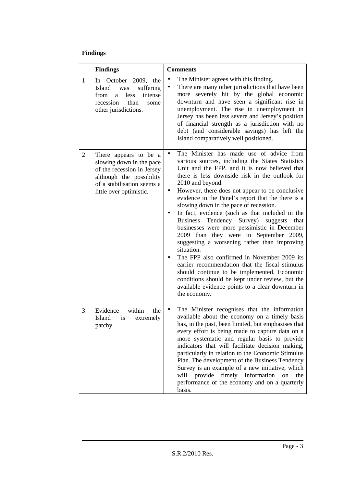### **Findings**

|                | <b>Findings</b>                                                                                                                                                      | <b>Comments</b>                                                                                                                                                                                                                                                                                                                                                                                                                                                                                                                                                                                                                                                                                                                                                                                                                                                                                                                             |  |  |
|----------------|----------------------------------------------------------------------------------------------------------------------------------------------------------------------|---------------------------------------------------------------------------------------------------------------------------------------------------------------------------------------------------------------------------------------------------------------------------------------------------------------------------------------------------------------------------------------------------------------------------------------------------------------------------------------------------------------------------------------------------------------------------------------------------------------------------------------------------------------------------------------------------------------------------------------------------------------------------------------------------------------------------------------------------------------------------------------------------------------------------------------------|--|--|
| $\mathbf{1}$   | In October 2009, the<br>Island<br>suffering<br>was<br>less<br>intense<br>from<br>a<br>than<br>recession<br>some<br>other jurisdictions.                              | The Minister agrees with this finding.<br>$\bullet$<br>There are many other jurisdictions that have been<br>$\bullet$<br>more severely hit by the global economic<br>downturn and have seen a significant rise in<br>unemployment. The rise in unemployment in<br>Jersey has been less severe and Jersey's position<br>of financial strength as a jurisdiction with no<br>debt (and considerable savings) has left the<br>Island comparatively well positioned.                                                                                                                                                                                                                                                                                                                                                                                                                                                                             |  |  |
| $\overline{2}$ | There appears to be a<br>slowing down in the pace<br>of the recession in Jersey<br>although the possibility<br>of a stabilisation seems a<br>little over optimistic. | The Minister has made use of advice from<br>$\bullet$<br>various sources, including the States Statistics<br>Unit and the FPP, and it is now believed that<br>there is less downside risk in the outlook for<br>2010 and beyond.<br>However, there does not appear to be conclusive<br>$\bullet$<br>evidence in the Panel's report that the there is a<br>slowing down in the pace of recession.<br>In fact, evidence (such as that included in the<br><b>Business</b><br>Tendency Survey) suggests<br>that<br>businesses were more pessimistic in December<br>2009 than they were in September 2009,<br>suggesting a worsening rather than improving<br>situation.<br>The FPP also confirmed in November 2009 its<br>earlier recommendation that the fiscal stimulus<br>should continue to be implemented. Economic<br>conditions should be kept under review, but the<br>available evidence points to a clear downturn in<br>the economy. |  |  |
| 3              | within<br>Evidence<br>the<br>Island<br>extremely<br>is<br>patchy.                                                                                                    | The Minister recognises that the information<br>$\bullet$<br>available about the economy on a timely basis<br>has, in the past, been limited, but emphasises that<br>every effort is being made to capture data on a<br>more systematic and regular basis to provide<br>indicators that will facilitate decision making,<br>particularly in relation to the Economic Stimulus<br>Plan. The development of the Business Tendency<br>Survey is an example of a new initiative, which<br>will provide timely information<br>on<br>the<br>performance of the economy and on a quarterly<br>basis.                                                                                                                                                                                                                                                                                                                                               |  |  |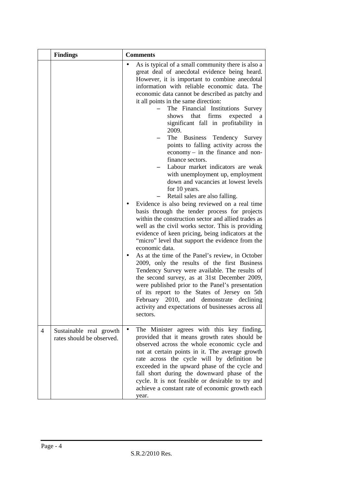|                | <b>Findings</b>                                      |   | <b>Comments</b>                                                                                                                                                                                                                                                                                                                                                                                                                                                                                                                                                                                                                                                                                                                                                                                                                                                                                                                                                                                                                                                                                                                                                                                                                                                                                                                                                                                                                                                                                               |  |  |
|----------------|------------------------------------------------------|---|---------------------------------------------------------------------------------------------------------------------------------------------------------------------------------------------------------------------------------------------------------------------------------------------------------------------------------------------------------------------------------------------------------------------------------------------------------------------------------------------------------------------------------------------------------------------------------------------------------------------------------------------------------------------------------------------------------------------------------------------------------------------------------------------------------------------------------------------------------------------------------------------------------------------------------------------------------------------------------------------------------------------------------------------------------------------------------------------------------------------------------------------------------------------------------------------------------------------------------------------------------------------------------------------------------------------------------------------------------------------------------------------------------------------------------------------------------------------------------------------------------------|--|--|
|                |                                                      |   | As is typical of a small community there is also a<br>great deal of anecdotal evidence being heard.<br>However, it is important to combine anecdotal<br>information with reliable economic data. The<br>economic data cannot be described as patchy and<br>it all points in the same direction:<br>The Financial Institutions Survey<br>shows that firms<br>expected<br>significant fall in profitability in<br>2009.<br>The Business<br>Tendency Survey<br>points to falling activity across the<br>$e\text{conomy}-\text{in the finance}$ and non-<br>finance sectors.<br>Labour market indicators are weak<br>with unemployment up, employment<br>down and vacancies at lowest levels<br>for 10 years.<br>Retail sales are also falling.<br>Evidence is also being reviewed on a real time<br>basis through the tender process for projects<br>within the construction sector and allied trades as<br>well as the civil works sector. This is providing<br>evidence of keen pricing, being indicators at the<br>"micro" level that support the evidence from the<br>economic data.<br>As at the time of the Panel's review, in October<br>2009, only the results of the first Business<br>Tendency Survey were available. The results of<br>the second survey, as at 31st December 2009,<br>were published prior to the Panel's presentation<br>of its report to the States of Jersey on 5th<br>February 2010, and demonstrate declining<br>activity and expectations of businesses across all<br>sectors. |  |  |
| $\overline{4}$ | Sustainable real growth<br>rates should be observed. | ٠ | The Minister agrees with this key finding,<br>provided that it means growth rates should be<br>observed across the whole economic cycle and<br>not at certain points in it. The average growth<br>rate across the cycle will by definition be<br>exceeded in the upward phase of the cycle and<br>fall short during the downward phase of the<br>cycle. It is not feasible or desirable to try and<br>achieve a constant rate of economic growth each<br>year.                                                                                                                                                                                                                                                                                                                                                                                                                                                                                                                                                                                                                                                                                                                                                                                                                                                                                                                                                                                                                                                |  |  |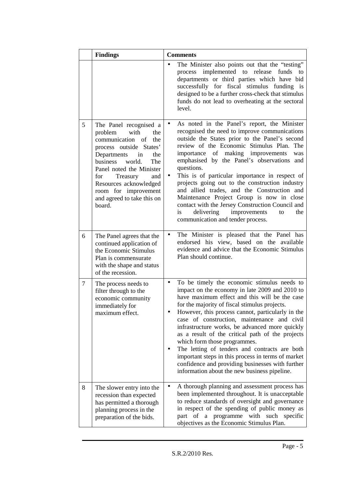|        | <b>Findings</b>                                                                                                                                                                                                                                                                                                 | <b>Comments</b> |                                                                                                                                                                                                                                                                                                                                                                                                                                                                                                                                                                                                                                                      |
|--------|-----------------------------------------------------------------------------------------------------------------------------------------------------------------------------------------------------------------------------------------------------------------------------------------------------------------|-----------------|------------------------------------------------------------------------------------------------------------------------------------------------------------------------------------------------------------------------------------------------------------------------------------------------------------------------------------------------------------------------------------------------------------------------------------------------------------------------------------------------------------------------------------------------------------------------------------------------------------------------------------------------------|
|        |                                                                                                                                                                                                                                                                                                                 |                 | The Minister also points out that the "testing"<br>process implemented to release funds<br>to<br>departments or third parties which have bid<br>successfully for fiscal stimulus funding is<br>designed to be a further cross-check that stimulus<br>funds do not lead to overheating at the sectoral<br>level.                                                                                                                                                                                                                                                                                                                                      |
| 5      | The Panel recognised a<br>problem<br>with<br>the<br>communication of<br>the<br>process outside States'<br>Departments<br>in<br>the<br>business<br>world.<br>The<br>Panel noted the Minister<br>for<br>Treasury<br>and<br>Resources acknowledged<br>room for improvement<br>and agreed to take this on<br>board. | $\bullet$<br>is | As noted in the Panel's report, the Minister<br>recognised the need to improve communications<br>outside the States prior to the Panel's second<br>review of the Economic Stimulus Plan. The<br>importance of making improvements<br>was<br>emphasised by the Panel's observations and<br>questions.<br>This is of particular importance in respect of<br>projects going out to the construction industry<br>and allied trades, and the Construction and<br>Maintenance Project Group is now in close<br>contact with the Jersey Construction Council and<br>delivering improvements<br>the<br>to<br>communication and tender process.               |
| 6      | The Panel agrees that the<br>continued application of<br>the Economic Stimulus<br>Plan is commensurate<br>with the shape and status<br>of the recession.                                                                                                                                                        | $\bullet$       | The Minister is pleased that the Panel has<br>endorsed his view, based on the available<br>evidence and advice that the Economic Stimulus<br>Plan should continue.                                                                                                                                                                                                                                                                                                                                                                                                                                                                                   |
| $\tau$ | The process needs to<br>filter through to the<br>economic community<br>immediately for<br>maximum effect.                                                                                                                                                                                                       | $\bullet$       | To be timely the economic stimulus needs to<br>impact on the economy in late 2009 and 2010 to<br>have maximum effect and this will be the case<br>for the majority of fiscal stimulus projects.<br>However, this process cannot, particularly in the<br>case of construction, maintenance and civil<br>infrastructure works, be advanced more quickly<br>as a result of the critical path of the projects<br>which form those programmes.<br>The letting of tenders and contracts are both<br>important steps in this process in terms of market<br>confidence and providing businesses with further<br>information about the new business pipeline. |
| 8      | The slower entry into the<br>recession than expected<br>has permitted a thorough<br>planning process in the<br>preparation of the bids.                                                                                                                                                                         |                 | A thorough planning and assessment process has<br>been implemented throughout. It is unacceptable<br>to reduce standards of oversight and governance<br>in respect of the spending of public money as<br>part of a programme with such specific<br>objectives as the Economic Stimulus Plan.                                                                                                                                                                                                                                                                                                                                                         |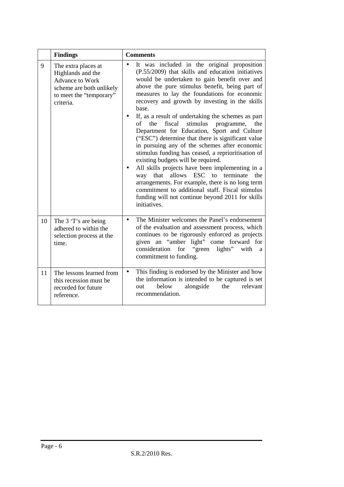|    | <b>Findings</b>                                                                                                                 | <b>Comments</b>                                                                                                                                                                                                                                                                                                                                                                                                                                                                                                                                                                                                                                                                                                                                                                                                                                                                                                                                                       |  |  |
|----|---------------------------------------------------------------------------------------------------------------------------------|-----------------------------------------------------------------------------------------------------------------------------------------------------------------------------------------------------------------------------------------------------------------------------------------------------------------------------------------------------------------------------------------------------------------------------------------------------------------------------------------------------------------------------------------------------------------------------------------------------------------------------------------------------------------------------------------------------------------------------------------------------------------------------------------------------------------------------------------------------------------------------------------------------------------------------------------------------------------------|--|--|
| 9  | The extra places at<br>Highlands and the<br>Advance to Work<br>scheme are both unlikely<br>to meet the "temporary"<br>criteria. | It was included in the original proposition<br>$\bullet$<br>(P.55/2009) that skills and education initiatives<br>would be undertaken to gain benefit over and<br>above the pure stimulus benefit, being part of<br>measures to lay the foundations for economic<br>recovery and growth by investing in the skills<br>base.<br>If, as a result of undertaking the schemes as part<br>fiscal<br>stimulus<br>of<br>the<br>the<br>programme,<br>Department for Education, Sport and Culture<br>("ESC") determine that there is significant value<br>in pursuing any of the schemes after economic<br>stimulus funding has ceased, a reprioritisation of<br>existing budgets will be required.<br>All skills projects have been implementing in a<br>allows ESC to terminate<br>way that<br>the<br>arrangements. For example, there is no long term<br>commitment to additional staff. Fiscal stimulus<br>funding will not continue beyond 2011 for skills<br>initiatives. |  |  |
| 10 | The 3 'T's are being<br>adhered to within the<br>selection process at the<br>time.                                              | The Minister welcomes the Panel's endorsement<br>$\bullet$<br>of the evaluation and assessment process, which<br>continues to be rigorously enforced as projects<br>given an "amber light" come forward for<br>"green"<br>consideration<br>for<br>lights"<br>with<br>a<br>commitment to funding.                                                                                                                                                                                                                                                                                                                                                                                                                                                                                                                                                                                                                                                                      |  |  |
| 11 | The lessons learned from<br>this recession must be<br>recorded for future<br>reference.                                         | This finding is endorsed by the Minister and how<br>$\bullet$<br>the information is intended to be captured is set<br>below<br>alongside<br>the<br>relevant<br>out<br>recommendation.                                                                                                                                                                                                                                                                                                                                                                                                                                                                                                                                                                                                                                                                                                                                                                                 |  |  |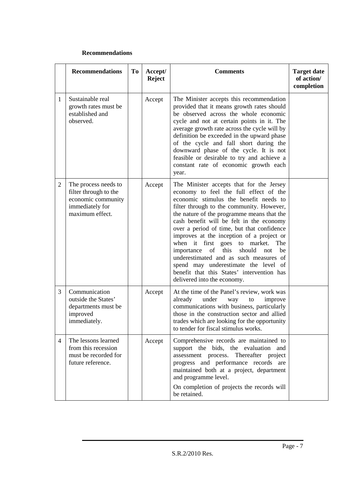#### **Recommendations**

|                | <b>Recommendations</b>                                                                                    | <b>To</b> | Accept/<br><b>Reject</b> | <b>Comments</b>                                                                                                                                                                                                                                                                                                                                                                                                                                                                                                                                                                                                          | <b>Target date</b><br>of action/<br>completion |
|----------------|-----------------------------------------------------------------------------------------------------------|-----------|--------------------------|--------------------------------------------------------------------------------------------------------------------------------------------------------------------------------------------------------------------------------------------------------------------------------------------------------------------------------------------------------------------------------------------------------------------------------------------------------------------------------------------------------------------------------------------------------------------------------------------------------------------------|------------------------------------------------|
| $\mathbf{1}$   | Sustainable real<br>growth rates must be<br>established and<br>observed.                                  |           | Accept                   | The Minister accepts this recommendation<br>provided that it means growth rates should<br>be observed across the whole economic<br>cycle and not at certain points in it. The<br>average growth rate across the cycle will by<br>definition be exceeded in the upward phase<br>of the cycle and fall short during the<br>downward phase of the cycle. It is not<br>feasible or desirable to try and achieve a<br>constant rate of economic growth each<br>year.                                                                                                                                                          |                                                |
| $\overline{2}$ | The process needs to<br>filter through to the<br>economic community<br>immediately for<br>maximum effect. |           | Accept                   | The Minister accepts that for the Jersey<br>economy to feel the full effect of the<br>economic stimulus the benefit needs to<br>filter through to the community. However,<br>the nature of the programme means that the<br>cash benefit will be felt in the economy<br>over a period of time, but that confidence<br>improves at the inception of a project or<br>when it first goes to market.<br>The<br>this<br>importance<br>of<br>should<br>be<br>not<br>underestimated and as such measures of<br>spend may underestimate the level of<br>benefit that this States' intervention has<br>delivered into the economy. |                                                |
| 3              | Communication<br>outside the States'<br>departments must be<br>improved<br>immediately.                   |           | Accept                   | At the time of the Panel's review, work was<br>already<br>under<br>improve<br>way<br>to<br>communications with business, particularly<br>those in the construction sector and allied<br>trades which are looking for the opportunity<br>to tender for fiscal stimulus works.                                                                                                                                                                                                                                                                                                                                             |                                                |
| 4              | The lessons learned<br>from this recession<br>must be recorded for<br>future reference.                   |           | Accept                   | Comprehensive records are maintained to<br>support the bids, the evaluation and<br>assessment process. Thereafter project<br>progress and performance records are<br>maintained both at a project, department<br>and programme level.<br>On completion of projects the records will<br>be retained.                                                                                                                                                                                                                                                                                                                      |                                                |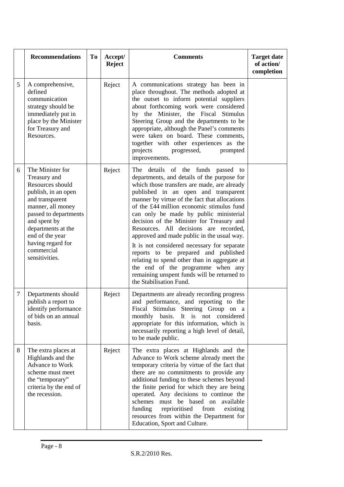|   | <b>Recommendations</b>                                                                                                                                                                                                                                     | <b>To</b> | Accept/<br><b>Reject</b> | <b>Comments</b>                                                                                                                                                                                                                                                                                                                                                                                                                                                                                                                                                                                                                                                                                                | <b>Target date</b><br>of action/<br>completion |
|---|------------------------------------------------------------------------------------------------------------------------------------------------------------------------------------------------------------------------------------------------------------|-----------|--------------------------|----------------------------------------------------------------------------------------------------------------------------------------------------------------------------------------------------------------------------------------------------------------------------------------------------------------------------------------------------------------------------------------------------------------------------------------------------------------------------------------------------------------------------------------------------------------------------------------------------------------------------------------------------------------------------------------------------------------|------------------------------------------------|
| 5 | A comprehensive,<br>defined<br>communication<br>strategy should be<br>immediately put in<br>place by the Minister<br>for Treasury and<br>Resources.                                                                                                        |           | Reject                   | A communications strategy has been in<br>place throughout. The methods adopted at<br>the outset to inform potential suppliers<br>about forthcoming work were considered<br>by the Minister, the Fiscal Stimulus<br>Steering Group and the departments to be<br>appropriate, although the Panel's comments<br>were taken on board. These comments,<br>together with other experiences as the<br>projects<br>progressed,<br>prompted<br>improvements.                                                                                                                                                                                                                                                            |                                                |
| 6 | The Minister for<br>Treasury and<br>Resources should<br>publish, in an open<br>and transparent<br>manner, all money<br>passed to departments<br>and spent by<br>departments at the<br>end of the year<br>having regard for<br>commercial<br>sensitivities. |           | Reject                   | details of the funds passed to<br>The<br>departments, and details of the purpose for<br>which those transfers are made, are already<br>published in an open and transparent<br>manner by virtue of the fact that allocations<br>of the £44 million economic stimulus fund<br>can only be made by public ministerial<br>decision of the Minister for Treasury and<br>Resources. All decisions are recorded,<br>approved and made public in the usual way.<br>It is not considered necessary for separate<br>reports to be prepared and published<br>relating to spend other than in aggregate at<br>the end of the programme when any<br>remaining unspent funds will be returned to<br>the Stabilisation Fund. |                                                |
| 7 | Departments should<br>publish a report to<br>identify performance<br>of bids on an annual<br>basis.                                                                                                                                                        |           | Reject                   | Departments are already recording progress<br>and performance, and reporting to the<br>Fiscal Stimulus Steering Group on a<br>monthly basis. It is not considered<br>appropriate for this information, which is<br>necessarily reporting a high level of detail,<br>to be made public.                                                                                                                                                                                                                                                                                                                                                                                                                         |                                                |
| 8 | The extra places at<br>Highlands and the<br>Advance to Work<br>scheme must meet<br>the "temporary"<br>criteria by the end of<br>the recession.                                                                                                             |           | Reject                   | The extra places at Highlands and the<br>Advance to Work scheme already meet the<br>temporary criteria by virtue of the fact that<br>there are no commitments to provide any<br>additional funding to these schemes beyond<br>the finite period for which they are being<br>operated. Any decisions to continue the<br>schemes<br>must be based on<br>available<br>funding<br>reprioritised<br>from<br>existing<br>resources from within the Department for<br>Education, Sport and Culture.                                                                                                                                                                                                                   |                                                |